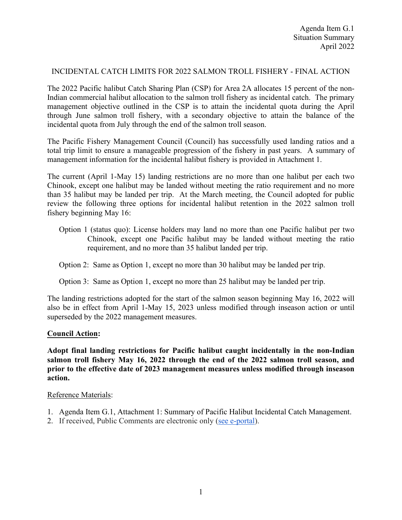## INCIDENTAL CATCH LIMITS FOR 2022 SALMON TROLL FISHERY - FINAL ACTION

The 2022 Pacific halibut Catch Sharing Plan (CSP) for Area 2A allocates 15 percent of the non-Indian commercial halibut allocation to the salmon troll fishery as incidental catch. The primary management objective outlined in the CSP is to attain the incidental quota during the April through June salmon troll fishery, with a secondary objective to attain the balance of the incidental quota from July through the end of the salmon troll season.

The Pacific Fishery Management Council (Council) has successfully used landing ratios and a total trip limit to ensure a manageable progression of the fishery in past years. A summary of management information for the incidental halibut fishery is provided in Attachment 1.

The current (April 1-May 15) landing restrictions are no more than one halibut per each two Chinook, except one halibut may be landed without meeting the ratio requirement and no more than 35 halibut may be landed per trip. At the March meeting, the Council adopted for public review the following three options for incidental halibut retention in the 2022 salmon troll fishery beginning May 16:

Option 1 (status quo): License holders may land no more than one Pacific halibut per two Chinook, except one Pacific halibut may be landed without meeting the ratio requirement, and no more than 35 halibut landed per trip.

### Option 2: Same as Option 1, except no more than 30 halibut may be landed per trip.

### Option 3: Same as Option 1, except no more than 25 halibut may be landed per trip.

The landing restrictions adopted for the start of the salmon season beginning May 16, 2022 will also be in effect from April 1-May 15, 2023 unless modified through inseason action or until superseded by the 2022 management measures.

### **Council Action:**

**Adopt final landing restrictions for Pacific halibut caught incidentally in the non-Indian salmon troll fishery May 16, 2022 through the end of the 2022 salmon troll season, and prior to the effective date of 2023 management measures unless modified through inseason action.**

#### Reference Materials:

- 1. Agenda Item G.1, Attachment 1: Summary of Pacific Halibut Incidental Catch Management.
- 2. If received, Public Comments are electronic only [\(see e-portal\)](https://pfmc.psmfc.org/).